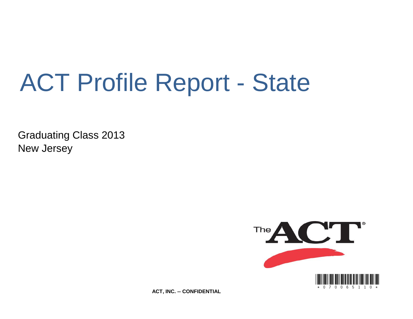# ACT Profile Report - State

Graduating Class 2013 New Jersey



**ACT, INC. -- CONFIDENTIAL**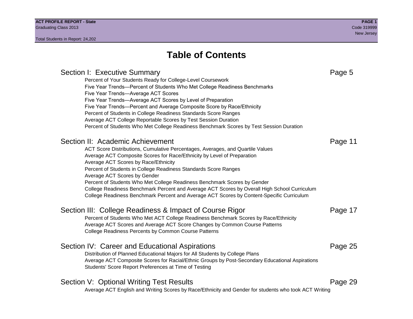# **Table of Contents**

# Section I: Executive Summary **Page 5** and the section I: Executive Summary Percent of Your Students Ready for College-Level Coursework Five Year Trends—Percent of Students Who Met College Readiness Benchmarks Five Year Trends—Average ACT Scores Five Year Trends—Average ACT Scores by Level of Preparation Five Year Trends—Percent and Average Composite Score by Race/Ethnicity Percent of Students in College Readiness Standards Score Ranges Average ACT College Reportable Scores by Test Session Duration Percent of Students Who Met College Readiness Benchmark Scores by Test Session Duration Section II: Academic Achievement **Page 11** Page 11 ACT Score Distributions, Cumulative Percentages, Averages, and Quartile Values Average ACT Composite Scores for Race/Ethnicity by Level of Preparation Average ACT Scores by Race/Ethnicity Percent of Students in College Readiness Standards Score Ranges Average ACT Scores by Gender Percent of Students Who Met College Readiness Benchmark Scores by Gender College Readiness Benchmark Percent and Average ACT Scores by Overall High School Curriculum College Readiness Benchmark Percent and Average ACT Scores by Content-Specific Curriculum Section III: College Readiness & Impact of Course Rigor Page 17 Percent of Students Who Met ACT College Readiness Benchmark Scores by Race/Ethnicity Average ACT Scores and Average ACT Score Changes by Common Course Patterns College Readiness Percents by Common Course Patterns Section IV: Career and Educational Aspirations **Page 25** Page 25 Distribution of Planned Educational Majors for All Students by College Plans Average ACT Composite Scores for Racial/Ethnic Groups by Post-Secondary Educational Aspirations Students' Score Report Preferences at Time of Testing Section V: Optional Writing Test Results **Page 29** Page 29 Average ACT English and Writing Scores by Race/Ethnicity and Gender for students who took ACT Writing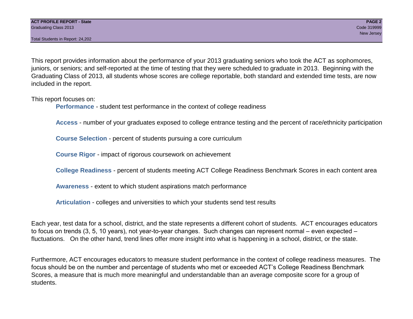Total Students in Report: 24,202

This report provides information about the performance of your 2013 graduating seniors who took the ACT as sophomores, juniors, or seniors; and self-reported at the time of testing that they were scheduled to graduate in 2013. Beginning with the Graduating Class of 2013, all students whose scores are college reportable, both standard and extended time tests, are now included in the report.

This report focuses on:

**Performance** - student test performance in the context of college readiness

**Access** - number of your graduates exposed to college entrance testing and the percent of race/ethnicity participation

**Course Selection** - percent of students pursuing a core curriculum

**Course Rigor** - impact of rigorous coursework on achievement

**College Readiness** - percent of students meeting ACT College Readiness Benchmark Scores in each content area

**Awareness** - extent to which student aspirations match performance

**Articulation** - colleges and universities to which your students send test results

Each year, test data for a school, district, and the state represents a different cohort of students. ACT encourages educators to focus on trends (3, 5, 10 years), not year-to-year changes. Such changes can represent normal – even expected – fluctuations. On the other hand, trend lines offer more insight into what is happening in a school, district, or the state.

Furthermore, ACT encourages educators to measure student performance in the context of college readiness measures. The focus should be on the number and percentage of students who met or exceeded ACT's College Readiness Benchmark Scores, a measure that is much more meaningful and understandable than an average composite score for a group of students.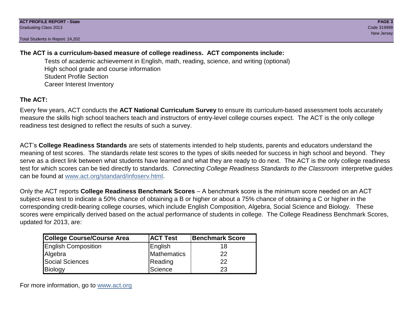Total Students in Report: 24,202

## **The ACT is a curriculum-based measure of college readiness. ACT components include:**

Tests of academic achievement in English, math, reading, science, and writing (optional) High school grade and course information Student Profile Section Career Interest Inventory

# **The ACT:**

Every few years, ACT conducts the **ACT National Curriculum Survey** to ensure its curriculum-based assessment tools accurately measure the skills high school teachers teach and instructors of entry-level college courses expect. The ACT is the only college readiness test designed to reflect the results of such a survey.

ACT's **College Readiness Standards** are sets of statements intended to help students, parents and educators understand the meaning of test scores. The standards relate test scores to the types of skills needed for success in high school and beyond. They serve as a direct link between what students have learned and what they are ready to do next. The ACT is the only college readiness test for which scores can be tied directly to standards. *Connecting College Readiness Standards to the Classroom* interpretive guides can be found at www.act.org/standard/infoserv.html.

Only the ACT reports **College Readiness Benchmark Scores** – A benchmark score is the minimum score needed on an ACT subject-area test to indicate a 50% chance of obtaining a B or higher or about a 75% chance of obtaining a C or higher in the corresponding credit-bearing college courses, which include English Composition, Algebra, Social Science and Biology. These scores were empirically derived based on the actual performance of students in college. The College Readiness Benchmark Scores, updated for 2013, are:

| College Course/Course Area | <b>ACT Test</b> | <b>Benchmark Score</b> |
|----------------------------|-----------------|------------------------|
| <b>English Composition</b> | English         | 18                     |
| Algebra                    | Mathematics     | 22                     |
| <b>Social Sciences</b>     | Reading         | 22                     |
| Biology                    | Science         | 23                     |

For more information, go to www.act.org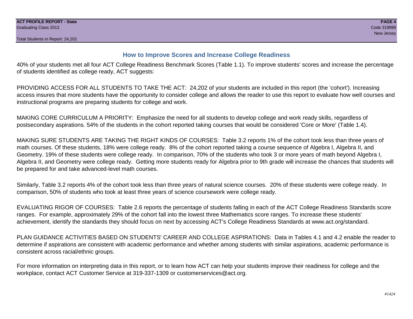### **How to Improve Scores and Increase College Readiness**

40% of your students met all four ACT College Readiness Benchmark Scores (Table 1.1). To improve students' scores and increase the percentage of students identified as college ready, ACT suggests:

PROVIDING ACCESS FOR ALL STUDENTS TO TAKE THE ACT: 24,202 of your students are included in this report (the 'cohort'). Increasing access insures that more students have the opportunity to consider college and allows the reader to use this report to evaluate how well courses and instructional programs are preparing students for college and work.

MAKING CORE CURRICULUM A PRIORITY: Emphasize the need for all students to develop college and work ready skills, regardless of postsecondary aspirations. 54% of the students in the cohort reported taking courses that would be considered 'Core or More' (Table 1.4).

MAKING SURE STUDENTS ARE TAKING THE RIGHT KINDS OF COURSES: Table 3.2 reports 1% of the cohort took less than three years of math courses. Of these students, 18% were college ready. 8% of the cohort reported taking a course sequence of Algebra I, Algebra II, and Geometry. 19% of these students were college ready. In comparison, 70% of the students who took 3 or more years of math beyond Algebra I, Algebra II, and Geometry were college ready. Getting more students ready for Algebra prior to 9th grade will increase the chances that students will be prepared for and take advanced-level math courses.

Similarly, Table 3.2 reports 4% of the cohort took less than three years of natural science courses. 20% of these students were college ready. In comparison, 50% of students who took at least three years of science coursework were college ready.

EVALUATING RIGOR OF COURSES: Table 2.6 reports the percentage of students falling in each of the ACT College Readiness Standards score ranges. For example, approximately 29% of the cohort fall into the lowest three Mathematics score ranges. To increase these students' achievement, identify the standards they should focus on next by accessing ACT's College Readiness Standards at www.act.org/standard.

PLAN GUIDANCE ACTIVITIES BASED ON STUDENTS' CAREER AND COLLEGE ASPIRATIONS: Data in Tables 4.1 and 4.2 enable the reader to determine if aspirations are consistent with academic performance and whether among students with similar aspirations, academic performance is consistent across racial/ethnic groups.

For more information on interpreting data in this report, or to learn how ACT can help your students improve their readiness for college and the workplace, contact ACT Customer Service at 319-337-1309 or customerservices@act.org.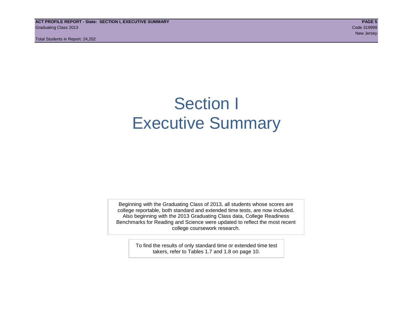**ACT PROFILE REPORT - State: SECTION I, EXECUTIVE SUMMARY PAGE 5** Graduating Class 2013 Code 319999

Total Students in Report: 24,202

# Section I Executive Summary

Beginning with the Graduating Class of 2013, all students whose scores are college reportable, both standard and extended time tests, are now included. Also beginning with the 2013 Graduating Class data, College Readiness Benchmarks for Reading and Science were updated to reflect the most recent college coursework research.

> To find the results of only standard time or extended time test takers, refer to Tables 1.7 and 1.8 on page 10.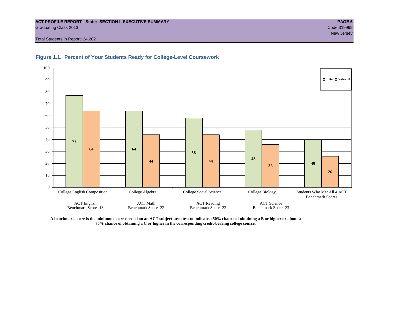#### **ACT PROFILE REPORT - State: SECTION I, EXECUTIVE SUMMARY PAGE 6** Graduating Class 2013 Code 319999

Total Students in Report: 24,202





**A benchmark score is the minimum score needed on an ACT subject-area test to indicate a 50% chance of obtaining a B or higher or about a 75% chance of obtaining a C or higher in the corresponding credit-bearing college course.**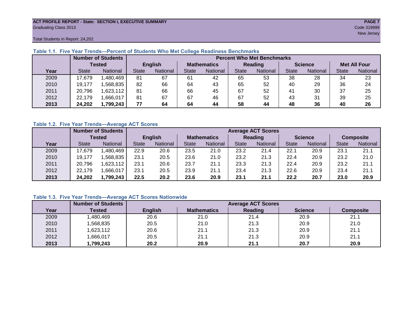#### **ACT PROFILE REPORT - State: SECTION I, EXECUTIVE SUMMARY PAGE 7** Graduating Class 2013 Code 319999

new Jersey (1999) and the second control of the second control of the second control of the Second Control of the Second Control of the Second Control of the Second Control of the Second Control of the Second Control of th

Total Students in Report: 24,202

|      | <b>Number of Students</b> |                 |                |          | <b>Percent Who Met Benchmarks</b> |                 |                |          |                |          |                     |          |
|------|---------------------------|-----------------|----------------|----------|-----------------------------------|-----------------|----------------|----------|----------------|----------|---------------------|----------|
|      | <b>Tested</b>             |                 | <b>English</b> |          | <b>Mathematics</b>                |                 | <b>Reading</b> |          | <b>Science</b> |          | <b>Met All Four</b> |          |
| Year | <b>State</b>              | <b>National</b> | <b>State</b>   | National | <b>State</b>                      | <b>National</b> | <b>State</b>   | National | <b>State</b>   | National | <b>State</b>        | National |
| 2009 | 17,679                    | ,480,469        | 81             | 67       | 61                                | 42              | 65             | 53       | 38             | 28       | 34                  | 23       |
| 2010 | 19,177                    | .568.835        | 82             | 66       | 64                                | 43              | 65             | 52       | 40             | 29       | 36                  | 24       |
| 2011 | 20,796                    | .623,112        | 81             | 66       | 66                                | 45              | 67             | 52       | 41             | 30       | 37                  | 25       |
| 2012 | 22,179                    | .666,017        | 81             | 67       | 67                                | 46              | 67             | 52       | 43             | 31       | 39                  | 25       |
| 2013 | 24,202                    | 1,799,243       | 77             | 64       | 64                                | 44              | 58             | 44       | 48             | 36       | 40                  | 26       |

#### **Table 1.1. Five Year Trends—Percent of Students Who Met College Readiness Benchmarks**

#### **Table 1.2. Five Year Trends—Average ACT Scores**

|      | <b>Number of Students</b> |           |                |                 | <b>Average ACT Scores</b> |                 |                |                 |              |                |              |                  |
|------|---------------------------|-----------|----------------|-----------------|---------------------------|-----------------|----------------|-----------------|--------------|----------------|--------------|------------------|
|      | Tested                    |           | <b>English</b> |                 | <b>Mathematics</b>        |                 | <b>Reading</b> |                 |              | <b>Science</b> |              | <b>Composite</b> |
| Year | <b>State</b>              | National  | <b>State</b>   | <b>National</b> | <b>State</b>              | <b>National</b> | <b>State</b>   | <b>National</b> | <b>State</b> | National       | <b>State</b> | National         |
| 2009 | 17.679                    | .480.469  | 22.9           | 20.6            | 23.5                      | 21.0            | 23.2           | 21.4            | 22.1         | 20.9           | 23.1         | 21.1             |
| 2010 | 19,177                    | .568.835  | 23.1           | 20.5            | 23.6                      | 21.0            | 23.2           | 21.3            | 22.4         | 20.9           | 23.2         | 21.0             |
| 2011 | 20.796                    | ,623,112  | 23.1           | 20.6            | 23.7                      | 21.1            | 23.3           | 21.3            | 22.4         | 20.9           | 23.2         | 21.1             |
| 2012 | 22,179                    | .666,017  | 23.1           | 20.5            | 23.9                      | 21.1            | 23.4           | 21.3            | 22.6         | 20.9           | 23.4         | 21.1             |
| 2013 | 24,202                    | 1,799,243 | 22.5           | 20.2            | 23.6                      | 20.9            | 23.1           | 21.1            | 22.2         | 20.7           | 23.0         | 20.9             |

#### **Table 1.3. Five Year Trends—Average ACT Scores Nationwide**

|      | <b>Number of Students</b> | <b>Average ACT Scores</b> |                    |         |                |                  |  |  |  |
|------|---------------------------|---------------------------|--------------------|---------|----------------|------------------|--|--|--|
| Year | Tested                    | <b>English</b>            | <b>Mathematics</b> | Reading | <b>Science</b> | <b>Composite</b> |  |  |  |
| 2009 | ,480,469                  | 20.6                      | 21.0               | 21.4    | 20.9           | 21.1             |  |  |  |
| 2010 | ,568,835                  | 20.5                      | 21.0               | 21.3    | 20.9           | 21.0             |  |  |  |
| 2011 | ,623,112                  | 20.6                      | 21.1               | 21.3    | 20.9           | 21.1             |  |  |  |
| 2012 | ,666,017                  | 20.5                      | 21.1               | 21.3    | 20.9           | 21.1             |  |  |  |
| 2013 | 1,799,243                 | 20.2                      | 20.9               | 21.1    | 20.7           | 20.9             |  |  |  |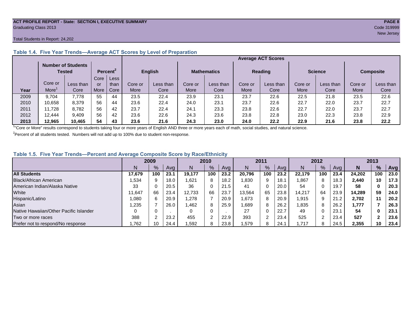#### **ACT PROFILE REPORT - State: SECTION I, EXECUTIVE SUMMARY PAGE 8** Graduating Class 2013 Code 319999

#### Total Students in Report: 24,202

|      |                                     |           |                      |      |                | <b>Average ACT Scores</b> |                    |           |         |                |                |           |                  |           |
|------|-------------------------------------|-----------|----------------------|------|----------------|---------------------------|--------------------|-----------|---------|----------------|----------------|-----------|------------------|-----------|
|      | <b>Number of Students</b><br>Tested |           | Percent <sup>2</sup> |      | <b>English</b> |                           | <b>Mathematics</b> |           |         | <b>Reading</b> | <b>Science</b> |           | <b>Composite</b> |           |
|      |                                     |           | Core                 | Less |                |                           |                    |           |         |                |                |           |                  |           |
|      | Core or                             | Less than | or                   | than | Core or        | Less than                 | Core or            | Less than | Core or | Less than      | Core or        | Less than | Core or          | Less than |
| Year | More                                | Core      | More                 | Core | More           | Core                      | More               | Core      | More    | Core           | More           | Core      | More             | Core      |
| 2009 | 9.704                               | 7.778     | 55                   | 44   | 23.5           | 22.4                      | 23.9               | 23.7      | 23.7    | 22.6           | 22.5           | 21.8      | 23.5             | 22.6      |
| 2010 | 10,658                              | 8.379     | 56                   | 44   | 23.6           | 22.4                      | 24.0               | 23.1      | 23.7    | 22.6           | 22.7           | 22.0      | 23.7             | 22.7      |
| 2011 | 11.728                              | 8,782     | 56                   | 42   | 23.7           | 22.4                      | 24.1               | 23.3      | 23.8    | 22.6           | 22.7           | 22.0      | 23.7             | 22.7      |
| 2012 | 12.444                              | 9,409     | 56                   | 42   | 23.6           | 22.6                      | 24.3               | 23.6      | 23.8    | 22.8           | 23.0           | 22.3      | 23.8             | 22.9      |
| 2013 | 12.965                              | 10.465    | 54                   | 43   | 23.6           | 21.6                      | 24.3               | 23.0      | 24.0    | 22.2           | 22.9           | 21.6      | 23.8             | 22.2      |

#### **Table 1.4. Five Year Trends—Average ACT Scores by Level of Preparation**

<sup>1</sup>"Core or More" results correspond to students taking four or more years of English AND three or more years each of math, social studies, and natural science.

 $2$ Percent of all students tested. Numbers will not add up to 100% due to student non-response.

#### **Table 1.5. Five Year Trends—Percent and Average Composite Score by Race/Ethnicity**

|                                        | 2009   |     | 2010 |        | 2011          |      | 2012        |     |      | 2013   |     |      |        |     |      |
|----------------------------------------|--------|-----|------|--------|---------------|------|-------------|-----|------|--------|-----|------|--------|-----|------|
|                                        |        | %   | Avg  | N      | $\frac{9}{6}$ | Ava  | N           | %   | Avg  | N      | %   | Ava  | N      | %   | Avg  |
| <b>All Students</b>                    | 17.679 | 100 | 23.1 | 19.177 | 100           | 23.2 | 20,796      | 100 | 23.2 | 22.179 | 100 | 23.4 | 24.202 | 100 | 23.0 |
| <b>Black/African American</b>          | .534   |     | 18.0 | 621. ا | 8             | 18.2 | .830        | 9   | 18.1 | .867   | 8   | 18.3 | 2.440  | 10  | 17.3 |
| American Indian/Alaska Native          | 33     |     | 20.5 | 36     | 0             | 21.5 | 41          | 0   | 20.0 | 54     | 0   | 19.7 | 58     | 0   | 20.3 |
| White                                  | 11.647 | 66  | 23.4 | 12.733 | 66            | 23.7 | 13,564      | 65  | 23.8 | 14.217 | 64  | 23.9 | 14.289 | 59  | 24.0 |
| Hispanic/Latino                        | 1.080  | 6.  | 20.9 | .278   |               | 20.9 | 1,673       | 8   | 20.9 | 1,915  | 9   | 21.2 | 2.702  | 11  | 20.2 |
| Asian                                  | .235   |     | 26.0 | l.462  | 8             | 25.9 | <b>889.</b> | 8   | 26.2 | .835   | 8   | 26.2 | 1.777  |     | 26.3 |
| Native Hawaiian/Other Pacific Islander |        |     |      | 0      | 0             |      | 27          | 0   | 22.7 | 49     |     | 23.7 | 54     | 0   | 23.1 |
| Two or more races                      | 388    |     | 23.2 | 455    | 2             | 22.9 | 393         | າ   | 23.4 | 525    | ົ   | 23.4 | 527    | ◠   | 23.6 |
| Prefer not to respond/No response      | .762   | 10  | 24.4 | 1,592  | 8             | 23.8 | ,579        | 8   | 24.  | .717   | Ω   | 24.5 | 2,355  | 10  | 23.4 |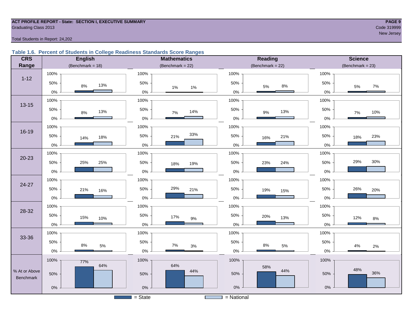#### **ACT PROFILE REPORT - State: SECTION I, EXECUTIVE SUMMARY PAGE 9 Graduating Class 2013** Code 319999

new Jersey (1989) and the second control of the second control of the second control of the Second Control of the Second Control of the Second Control of the Second Control of the Second Control of the Second Control of th

Total Students in Report: 24,202

#### **Table 1.6. Percent of Students in College Readiness Standards Score Ranges**

| <b>CRS</b>    | <b>English</b>        | <b>Mathematics</b>  | Reading               | <b>Science</b>      |
|---------------|-----------------------|---------------------|-----------------------|---------------------|
| Range         | (Benchmark = $18$ )   | (Benchmark = $22$ ) | (Benchmark = $22$ )   | $(Benchmark = 23)$  |
|               | 100%                  | 100%                | 100%                  | 100%                |
| $1 - 12$      | 50%<br>13%<br>$8\%$   | 50%<br>1%<br>$1\%$  | 50%<br>$8\%$<br>5%    | 50%<br>$7\%$<br>5%  |
|               | $0\%$                 | $0\%$               | $0\%$                 | 0%                  |
| $13 - 15$     | 100%                  | 100%                | 100%                  | 100%                |
|               | 50%<br>13%<br>$8\%$   | 50%<br>14%<br>7%    | 50%<br>13%<br>9%      | 50%<br>10%<br>$7\%$ |
|               | $0\%$                 | $0\%$               | $0\%$                 | 0%                  |
| 16-19         | 100%                  | 100%                | 100%                  | 100%                |
|               | 50%<br>18%<br>14%     | 33%<br>50%<br>21%   | 50%<br>21%<br>16%     | 50%<br>23%<br>18%   |
|               | $0\%$                 | 0%                  | 0%                    | 0%                  |
|               | 100%                  | 100%                | 100%                  | 100%                |
| $20 - 23$     | 50%<br>25%<br>25%     | 50%<br>19%<br>18%   | 50%<br>24%<br>23%     | 30%<br>29%<br>50%   |
|               | $0\%$                 | 0%                  | $0\%$                 | 0%                  |
| $24 - 27$     | 100%                  | 100%                | 100%                  | 100%                |
|               | 50%<br>21%<br>16%     | 29%<br>50%<br>21%   | 50%<br>19%<br>15%     | 50%<br>26%<br>20%   |
|               | $0\%$                 | 0%                  | $0\%$                 | 0%                  |
| 28-32         | 100%                  | 100%                | 100%                  | 100%                |
|               | 50%<br>15%<br>10%     | 50%<br>17%<br>$9\%$ | 50%<br>20%<br>13%     | 50%<br>12%<br>$8\%$ |
|               | $0\%$                 | $0\%$               | $0\%$                 | 0%                  |
| 33-36         | 100%                  | 100%                | 100%                  | 100%                |
|               | 50%<br>$8\%$<br>$5\%$ | 50%<br>7%<br>$3\%$  | 50%<br>$8\%$<br>$5\%$ | 50%<br>4%           |
|               | $0\%$                 | 0%                  | $0\%$                 | $2\%$<br>0%         |
|               | 100%<br>77%           | 100%                | 100%                  | 100%                |
| % At or Above | 64%<br>50%            | 64%<br>44%<br>50%   | 58%<br>44%<br>50%     | 48%<br>36%<br>50%   |
| Benchmark     |                       |                     |                       |                     |
|               | $0\%$                 | $0\%$               | $0\%$                 | $0\%$               |
|               |                       | $=$ State           | = National            |                     |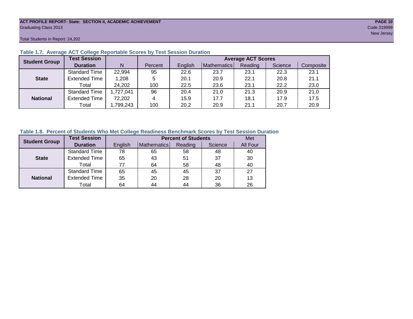#### **ACT PROFILE REPORT- State: SECTION II, ACADEMIC ACHIEVEMENT PAGE 10** Graduating Class 2013 Code 319999

Total Students in Report: 24,202

| <b>Student Group</b> | <b>Test Session</b>  |          |         | <b>Average ACT Scores</b> |             |         |         |           |  |  |
|----------------------|----------------------|----------|---------|---------------------------|-------------|---------|---------|-----------|--|--|
|                      | <b>Duration</b>      | N        | Percent | English                   | Mathematics | Reading | Science | Composite |  |  |
|                      | <b>Standard Time</b> | 22,994   | 95      | 22.6                      | 23.7        | 23.1    | 22.3    | 23.1      |  |  |
| <b>State</b>         | <b>Extended Time</b> | 1,208    | 5       | 20.1                      | 20.9        | 22.1    | 20.8    | 21.1      |  |  |
|                      | Total                | 24,202   | 100     | 22.5                      | 23.6        | 23.1    | 22.2    | 23.0      |  |  |
|                      | <b>Standard Time</b> | ,727,041 | 96      | 20.4                      | 21.0        | 21.3    | 20.9    | 21.0      |  |  |
| <b>National</b>      | <b>Extended Time</b> | 72,202   | 4       | 15.9                      | 17.7        | 18.1    | 17.9    | 17.5      |  |  |
|                      | Total                | ,799,243 | 100     | 20.2                      | 20.9        | 21.1    | 20.7    | 20.9      |  |  |

#### **Table 1.7. Average ACT College Reportable Scores by Test Session Duration**

#### **Table 1.8. Percent of Students Who Met College Readiness Benchmark Scores by Test Session Duration**

| <b>Student Group</b> | <b>Test Session</b>  |         | <b>Percent of Students</b> | Met     |         |          |
|----------------------|----------------------|---------|----------------------------|---------|---------|----------|
|                      | <b>Duration</b>      | English | Mathematics                | Reading | Science | All Four |
|                      | <b>Standard Time</b> | 78      | 65                         | 58      | 48      | 40       |
| <b>State</b>         | <b>Extended Time</b> | 65      | 43                         | 51      | 37      | 30       |
|                      | Total                | 77      | 64                         | 58      | 48      | 40       |
|                      | <b>Standard Time</b> | 65      | 45                         | 45      | 37      | 27       |
| <b>National</b>      | <b>Extended Time</b> | 35      | 20                         | 28      | 20      | 13       |
|                      | Total                | 64      | 44                         | 44      | 36      | 26       |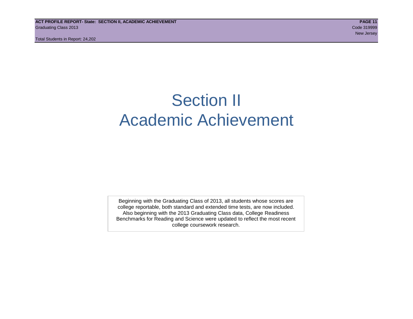Total Students in Report: 24,202

# Section II Academic Achievement

Beginning with the Graduating Class of 2013, all students whose scores are college reportable, both standard and extended time tests, are now included. Also beginning with the 2013 Graduating Class data, College Readiness Benchmarks for Reading and Science were updated to reflect the most recent college coursework research.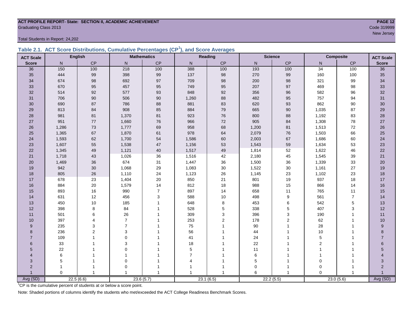#### **ACT PROFILE REPORT- State: SECTION II, ACADEMIC ACHIEVEMENT PAGE 12 Graduating Class 2013** Code 319999

Total Students in Report: 24,202

|  | Table 2.1. ACT Score Distributions, Cumulative Percentages (CP <sup>1</sup> ), and Score Averages |  |  |  |
|--|---------------------------------------------------------------------------------------------------|--|--|--|
|  |                                                                                                   |  |  |  |

| <b>ACT Scale</b> |          | <b>English</b> |                          | <b>Mathematics</b> |                | Reading        |             | <b>Science</b>   |                 | <b>Composite</b> | <b>ACT Scale</b> |
|------------------|----------|----------------|--------------------------|--------------------|----------------|----------------|-------------|------------------|-----------------|------------------|------------------|
| <b>Score</b>     | N        | <b>CP</b>      | N                        | CP                 | N              | CP             | N           | CP               | N               | CP               | <b>Score</b>     |
| 36               | 150      | 100            | 218                      | 100                | 388            | 100            | 193         | 100              | $\overline{34}$ | 100              | $\overline{36}$  |
| 35               | 444      | 99             | 398                      | 99                 | 137            | 98             | 270         | 99               | 160             | 100              | 35               |
| 34               | 674      | 98             | 692                      | 97                 | 709            | 98             | 200         | 98               | 321             | 99               | 34               |
| 33               | 670      | 95             | 457                      | 95                 | 749            | 95             | 207         | 97               | 469             | 98               | 33               |
| 32               | 514      | 92             | 577                      | 93                 | 848            | 92             | 356         | 96               | 582             | 96               | 32               |
| 31               | 706      | 90             | 506                      | $90\,$             | 1,260          | 88             | 482         | 95               | 757             | 94               | 31               |
| 30               | 690      | 87             | 786                      | 88                 | 881            | 83             | 620         | 93               | 862             | 90               | 30               |
| 29               | 813      | 84             | 908                      | 85                 | 884            | 79             | 665         | $90\,$           | 1,035           | 87               | 29               |
| 28               | 981      | 81             | 1,370                    | 81                 | 923            | 76             | 800         | 88               | 1,192           | 83               | 28               |
| 27               | 951      | 77             | 1,660                    | ${\bf 76}$         | 966            | 72             | 905         | 84               | 1,308           | 78               | 27               |
| 26               | 1,286    | 73             | 1,777                    | 69                 | 958            | 68             | 1,200       | 81               | 1,513           | 72               | 26               |
| 25               | 1,365    | 67             | 1,870                    | 61                 | 978            | 64             | 2,079       | 76               | 1,503           | 66               | 25               |
| 24               | 1,593    | 62             | 1,700                    | 54                 | 1,586          | 60             | 2,003       | 67               | 1,686           | 60               | 24               |
| 23               | 1,607    | 55             | 1,538                    | 47                 | 1,156          | 53             | 1,543       | 59               | 1,634           | 53               | 23               |
| 22               | 1,345    | 49             | 1,121                    | 40                 | 1,517          | 49             | 1,814       | 52               | 1,622           | 46               | 22               |
| 21               | 1,718    | 43             | 1,026                    | 36                 | 1,516          | 42             | 2,180       | 45               | 1,545           | 39               | 21               |
| 20               | 1,469    | 36             | 674                      | 31                 | 1,447          | 36             | 1,500       | 36               | 1,339           | 33               | 20               |
| 19               | 942      | 30             | 1,068                    | 29                 | 1,083          | 30             | 1,522       | $30\,$           | 1,161           | 27               | 19               |
| 18               | 805      | 26             | 1,110                    | 24                 | 1,123          | 26             | 1,145       | 23               | 1,102           | 23               | 18               |
| 17               | 678      | 23             | 1,404                    | 20                 | 850            | 21             | 801         | 19               | 937             | 18               | $17$             |
| 16               | 884      | 20             | 1,579                    | 14                 | 812            | 18             | 988         | 15               | 866             | 14               | 16               |
| 15               | 893      | 16             | 990                      | $\overline{7}$     | 897            | 14             | 658         | 11               | 765             | 11               | 15               |
| 14               | 631      | 12             | 456                      | $\sqrt{3}$         | 588            | 10             | 498         | $\boldsymbol{9}$ | 561             | $\overline{7}$   | 14               |
| 13               | 450      | 10             | 185                      | $\overline{1}$     | 648            | 8              | 453         | 6                | 542             | $\mathbf 5$      | 13               |
| 12               | 398      | 8              | 84                       | $\mathbf{1}$       | 528            | 5              | 338         | 5                | 407             | 3                | 12               |
| 11               | 501      | 6              | 26                       | 1                  | 309            | 3              | 396         | 3                | 190             | $\mathbf{1}$     | 11               |
| 10               | 397      | 4              | $\overline{7}$           |                    | 253            | $\overline{2}$ | 178         | $\overline{2}$   | 62              |                  | 10               |
| 9                | 235      | 3              | $\overline{7}$           |                    | 75             |                | 90          |                  | 28              |                  | $\boldsymbol{9}$ |
| 8                | 236      | $\overline{2}$ | 3                        |                    | 56             |                | 44          |                  | 10              |                  | 8                |
| $\overline{7}$   | 109      |                | $\Omega$                 |                    | 41             |                | 24          |                  | 5               |                  | $\overline{7}$   |
| 6                | 33       |                | 3                        |                    | 18             |                | 22          |                  | 2               |                  | 6                |
| 5                | 22       |                | $\Omega$                 |                    | $\mathbf 5$    |                | 11          |                  | 1               |                  | 5                |
| 4                | 6        |                | $\overline{\phantom{a}}$ |                    | $\overline{7}$ |                | $\,6\,$     |                  |                 |                  |                  |
| 3                | 5        |                | 0                        | 1                  | $\overline{4}$ |                | $\mathbf 5$ |                  | $\mathbf 0$     |                  | 3                |
| $\overline{2}$   | 1        |                | 0                        |                    |                |                | $\mathbf 0$ | 1                | 0               |                  | $\overline{2}$   |
|                  | $\Omega$ | $\overline{1}$ | $\overline{1}$           | $\overline{1}$     |                |                | 6           | $\overline{1}$   | $\Omega$        |                  |                  |
| Avg (SD)         |          | 22.5(6.6)      |                          | 23.6(5.7)          |                | 23.1(6.5)      |             | 22.2(5.5)        |                 | 23.0(5.6)        | Avg (SD)         |

<sup>1</sup>CP is the cumulative percent of students at or below a score point.

Note: Shaded portions of columns identify the students who met/exceeded the ACT College Readiness Benchmark Scores.

new Jersey (1989) and the second control of the second control of the second control of the Second Control of the Second Control of the Second Control of the Second Control of the Second Control of the Second Control of th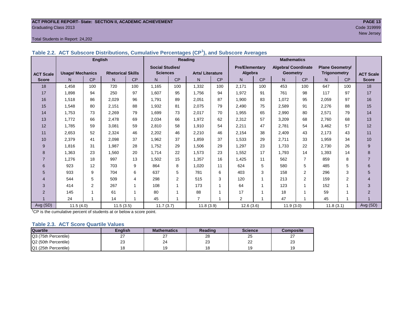#### **ACT PROFILE REPORT- State: SECTION II, ACADEMIC ACHIEVEMENT PAGE 13 Graduating Class 2013** Code 319999

#### Total Students in Report: 24,202

|  | Table 2.2. ACT Subscore Distributions, Cumulative Percentages (CP <sup>1</sup> ), and Subscore Averages |
|--|---------------------------------------------------------------------------------------------------------|
|  |                                                                                                         |

|                  |                         | <b>English</b> |                          |     |                        |                | <b>Reading</b>         |     | <b>Mathematics</b>    |     |                            |                |                        |                |                  |
|------------------|-------------------------|----------------|--------------------------|-----|------------------------|----------------|------------------------|-----|-----------------------|-----|----------------------------|----------------|------------------------|----------------|------------------|
|                  |                         |                |                          |     | <b>Social Studies/</b> |                |                        |     | <b>Pre/Elementary</b> |     | <b>Algebra/ Coordinate</b> |                | <b>Plane Geometry/</b> |                |                  |
| <b>ACT Scale</b> | <b>Usage/ Mechanics</b> |                | <b>Rhetorical Skills</b> |     | <b>Sciences</b>        |                | <b>Arts/Literature</b> |     | Algebra               |     | <b>Geometry</b>            |                | <b>Trigonometry</b>    |                | <b>ACT Scale</b> |
| <b>Score</b>     | N.                      | CP             | N                        | CP  | N                      | CP             | N <sub>1</sub>         | CP  | N                     | CP  | N                          | <b>CP</b>      | N <sub>1</sub>         | CP             | <b>Score</b>     |
| 18               | 1,458                   | 100            | 720                      | 100 | 1,165                  | 100            | 1,332                  | 100 | 2,171                 | 100 | 453                        | 100            | 647                    | 100            | 18               |
| 17               | 1.898                   | 94             | 250                      | 97  | 1,607                  | 95             | 1.756                  | 94  | 1,972                 | 91  | 761                        | 98             | 117                    | 97             | 17               |
| 16               | 1,518                   | 86             | 2,029                    | 96  | 1,791                  | 89             | 2,051                  | 87  | 1,900                 | 83  | 1,072                      | 95             | 2,059                  | 97             | 16               |
| 15               | 1,548                   | 80             | 2,151                    | 88  | 1,932                  | 81             | 2,075                  | 79  | 2,490                 | 75  | 2,589                      | 91             | 2,276                  | 88             | 15               |
| 14               | 1,753                   | 73             | 2,269                    | 79  | 1,699                  | 73             | 2,017                  | 70  | 1,955                 | 65  | 2,990                      | 80             | 2,571                  | 79             | 14               |
| 13               | 1,772                   | 66             | 2,478                    | 69  | 2,034                  | 66             | 1,972                  | 62  | 2,312                 | 57  | 3,209                      | 68             | 2,760                  | 68             | 13               |
| 12               | 1,785                   | 59             | 3,081                    | 59  | 2,810                  | 58             | 1,910                  | 54  | 2,211                 | 47  | 2,781                      | 54             | 3,462                  | 57             | 12               |
| 11               | 2,653                   | 52             | 2,324                    | 46  | 2,202                  | 46             | 2,210                  | 46  | 2,154                 | 38  | 2,409                      | 43             | 2,173                  | 43             | 11               |
| 10               | 2,379                   | 41             | 2,098                    | 37  | 1,962                  | 37             | 1,859                  | 37  | 1,533                 | 29  | 2,711                      | 33             | 1,959                  | 34             | 10               |
| 9                | 1,816                   | 31             | 1,987                    | 28  | 1,752                  | 29             | 1,506                  | 29  | 1,297                 | 23  | 1,733                      | 22             | 2,730                  | 26             | 9                |
| 8                | 1,363                   | 23             | 1,560                    | 20  | 1,714                  | 22             | 1,573                  | 23  | 1,552                 | 17  | 1,793                      | 14             | 1,393                  | 14             | 8                |
| $\overline{7}$   | 1,276                   | 18             | 997                      | 13  | 1,502                  | 15             | 1,357                  | 16  | 1,425                 | 11  | 562                        | $\overline{7}$ | 859                    | 8              | $\overline{7}$   |
| 6                | 923                     | 12             | 703                      | 9   | 864                    | 8              | 1,020                  | 11  | 624                   | 5   | 580                        | 5              | 485                    | 5              | 6                |
| 5                | 933                     | 9              | 704                      | 6   | 637                    | 5              | 781                    | 6   | 403                   | 3   | 158                        | 2              | 296                    | 3              | 5                |
| 4                | 544                     | 5              | 509                      | 4   | 298                    | $\overline{2}$ | 515                    | 3   | 120                   | 1   | 213                        | 2              | 159                    | $\overline{c}$ | $\overline{4}$   |
| 3                | 414                     | $\overline{2}$ | 267                      | 1   | 108                    | 1              | 173                    | 1   | 64                    |     | 123                        | 1              | 152                    |                | 3                |
| 2                | 145                     |                | 61                       | 1   | 80                     | 1              | 88                     | 1   | 17                    | 1   | 18                         | 1              | 59                     |                | 2                |
|                  | 24                      | 1              | 14                       | 1   | 45                     | 1              | $\overline{7}$         | 1   | 2                     | 1   | 47                         | 1              | 45                     | 1              |                  |
| Avg (SD)         | 11.5(4.0)               |                | 11.5(3.5)                |     | 11.7(3.7)              |                | 11.8(3.9)              |     | 12.6(3.6)             |     | 11.9(3.0)                  |                | 11.8(3.1)              |                | Avg (SD)         |

<sup>1</sup>CP is the cumulative percent of students at or below a score point.

#### **Table 2.3. ACT Score Quartile Values**

| <b>Quartile</b>      | Enalish       | <b>Mathematics</b> | Reading  | <b>Science</b> | Composite |
|----------------------|---------------|--------------------|----------|----------------|-----------|
| Q3 (75th Percentile) | ົ<br><u>.</u> | <u>.</u>           | 28       | 25             |           |
| Q2 (50th Percentile) | 23            | 24                 | nr<br>20 | nn<br>--       | nn<br>د∠  |
| Q1 (25th Percentile) |               |                    |          |                |           |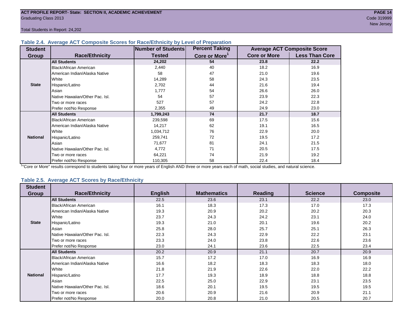Total Students in Report: 24,202

#### **Table 2.4. Average ACT Composite Scores for Race/Ethnicity by Level of Preparation**

| <b>Student</b>  |                                 | <b>Number of Students</b> | <b>Percent Taking</b>     |                     | <b>Average ACT Composite Score</b> |
|-----------------|---------------------------------|---------------------------|---------------------------|---------------------|------------------------------------|
| <b>Group</b>    | <b>Race/Ethnicity</b>           | <b>Tested</b>             | Core or More <sup>1</sup> | <b>Core or More</b> | <b>Less Than Core</b>              |
|                 | <b>All Students</b>             | 24,202                    | 54                        | 23.8                | 22.2                               |
|                 | <b>Black/African American</b>   | 2,440                     | 40                        | 18.2                | 16.9                               |
|                 | American Indian/Alaska Native   | 58                        | 47                        | 21.0                | 19.6                               |
|                 | White                           | 14,289                    | 58                        | 24.3                | 23.5                               |
| <b>State</b>    | Hispanic/Latino                 | 2,702                     | 44                        | 21.6                | 19.4                               |
|                 | Asian                           | 1,777                     | 54                        | 26.6                | 26.0                               |
|                 | Native Hawaiian/Other Pac. Isl. | 54                        | 57                        | 23.9                | 22.3                               |
|                 | I Two or more races             | 527                       | 57                        | 24.2                | 22.8                               |
|                 | Prefer not/No Response          | 2,355                     | 49                        | 24.9                | 23.0                               |
|                 | <b>All Students</b>             | 1,799,243                 | 74                        | 21.7                | 18.7                               |
|                 | Black/African American          | 239,598                   | 69                        | 17.5                | 15.6                               |
|                 | American Indian/Alaska Native   | 14,217                    | 62                        | 19.1                | 16.5                               |
|                 | <b>White</b>                    | 1,034,712                 | 76                        | 22.9                | 20.0                               |
| <b>National</b> | Hispanic/Latino                 | 259,741                   | 72                        | 19.5                | 17.2                               |
|                 | Asian                           | 71,677                    | 81                        | 24.1                | 21.5                               |
|                 | Native Hawaiian/Other Pac. Isl. | 4,772                     | 71                        | 20.5                | 17.5                               |
|                 | Two or more races               | 64,221                    | 74                        | 21.9                | 19.2                               |
|                 | Prefer not/No Response          | 110,305                   | 58                        | 22.4                | 18.4                               |

<sup>1</sup>"Core or More" results correspond to students taking four or more years of English AND three or more years each of math, social studies, and natural science.

#### **Table 2.5. Average ACT Scores by Race/Ethnicity**

| <b>Student</b>  |                                 |                |                    |                |                |                  |
|-----------------|---------------------------------|----------------|--------------------|----------------|----------------|------------------|
| <b>Group</b>    | <b>Race/Ethnicity</b>           | <b>English</b> | <b>Mathematics</b> | <b>Reading</b> | <b>Science</b> | <b>Composite</b> |
|                 | <b>All Students</b>             | 22.5           | 23.6               | 23.1           | 22.2           | 23.0             |
|                 | <b>Black/African American</b>   | 16.1           | 18.3               | 17.3           | 17.0           | 17.3             |
|                 | American Indian/Alaska Native   | 19.3           | 20.9               | 20.2           | 20.2           | 20.3             |
|                 | White                           | 23.7           | 24.3               | 24.2           | 23.1           | 24.0             |
| <b>State</b>    | Hispanic/Latino                 | 19.3           | 21.0               | 20.1           | 19.6           | 20.2             |
|                 | Asian                           | 25.8           | 28.0               | 25.7           | 25.1           | 26.3             |
|                 | Native Hawaiian/Other Pac. Isl. | 22.3           | 24.3               | 22.9           | 22.2           | 23.1             |
|                 | Two or more races               | 23.3           | 24.0               | 23.8           | 22.6           | 23.6             |
|                 | Prefer not/No Response          | 23.0           | 24.1               | 23.6           | 22.5           | 23.4             |
|                 | <b>All Students</b>             | 20.2           | 20.9               | 21.1           | 20.7           | 20.9             |
|                 | Black/African American          | 15.7           | 17.2               | 17.0           | 16.9           | 16.9             |
|                 | American Indian/Alaska Native   | 16.6           | 18.2               | 18.3           | 18.3           | 18.0             |
|                 | White                           | 21.8           | 21.9               | 22.6           | 22.0           | 22.2             |
| <b>National</b> | Hispanic/Latino                 | 17.7           | 19.3               | 18.9           | 18.8           | 18.8             |
|                 | Asian                           | 22.5           | 25.0               | 22.9           | 23.1           | 23.5             |
|                 | Native Hawaiian/Other Pac. Isl. | 18.6           | 20.1               | 19.5           | 19.5           | 19.5             |
|                 | Two or more races               | 20.6           | 20.9               | 21.6           | 20.9           | 21.1             |
|                 | Prefer not/No Response          | 20.0           | 20.8               | 21.0           | 20.5           | 20.7             |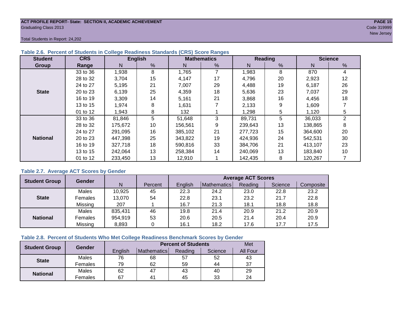#### **ACT PROFILE REPORT- State: SECTION II, ACADEMIC ACHIEVEMENT PAGE 15** Graduating Class 2013 Code 319999

new Jersey (1996) and the second control of the second control of the second control of the Second Control of the Second Control of the Second Control of the Second Control of the Second Control of the Second Control of th

Total Students in Report: 24,202

| <b>Student</b>  | <b>CRS</b> |         | <b>English</b> |         | <b>Mathematics</b> |         | <b>Reading</b> |         | <b>Science</b> |
|-----------------|------------|---------|----------------|---------|--------------------|---------|----------------|---------|----------------|
| <b>Group</b>    | Range      | N       | %              | N       | %                  | N       | $\frac{9}{6}$  | N       | %              |
|                 | 33 to 36   | 1,938   | 8              | 1,765   | 7                  | 1,983   | 8              | 870     | 4              |
|                 | 28 to 32   | 3.704   | 15             | 4,147   | 17                 | 4,796   | 20             | 2,923   | 12             |
|                 | 24 to 27   | 5,195   | 21             | 7,007   | 29                 | 4,488   | 19             | 6,187   | 26             |
| <b>State</b>    | 20 to 23   | 6,139   | 25             | 4,359   | 18                 | 5,636   | 23             | 7,037   | 29             |
|                 | 16 to 19   | 3,309   | 14             | 5,161   | 21                 | 3,868   | 16             | 4,456   | 18             |
|                 | 13 to 15   | 1,974   | 8              | 1,631   |                    | 2,133   | 9              | 1,609   |                |
|                 | 01 to 12   | 1,943   | 8              | 132     |                    | 1,298   | 5              | 1,120   | 5              |
|                 | 33 to 36   | 81,846  | 5              | 51,648  | 3                  | 89,731  | 5              | 36,033  | 2              |
|                 | 28 to 32   | 175,672 | 10             | 156,561 | 9                  | 239,643 | 13             | 138,865 | 8              |
|                 | 24 to 27   | 291.095 | 16             | 385,102 | 21                 | 277.723 | 15             | 364,600 | 20             |
| <b>National</b> | 20 to 23   | 447,398 | 25             | 343.822 | 19                 | 424,936 | 24             | 542,531 | 30             |
|                 | 16 to 19   | 327,718 | 18             | 590.816 | 33                 | 384.706 | 21             | 413,107 | 23             |
|                 | 13 to 15   | 242,064 | 13             | 258,384 | 14                 | 240,069 | 13             | 183,840 | 10             |
|                 | 01 to 12   | 233,450 | 13             | 12,910  |                    | 142,435 | 8              | 120,267 |                |

#### **Table 2.6. Percent of Students in College Readiness Standards (CRS) Score Ranges**

#### **Table 2.7. Average ACT Scores by Gender**

| <b>Student Group</b> | <b>Gender</b> |         | <b>Average ACT Scores</b> |         |             |         |         |           |  |  |  |
|----------------------|---------------|---------|---------------------------|---------|-------------|---------|---------|-----------|--|--|--|
|                      |               | N       | Percent                   | Enalish | Mathematics | Reading | Science | Composite |  |  |  |
|                      | Males         | 10,925  | 45                        | 22.3    | 24.2        | 23.0    | 22.8    | 23.2      |  |  |  |
| <b>State</b>         | Females       | 13,070  | 54                        | 22.8    | 23.1        | 23.2    | 21.7    | 22.8      |  |  |  |
|                      | Missing       | 207     |                           | 16.7    | 21.3        | 18.1    | 18.8    | 18.8      |  |  |  |
|                      | Males         | 835,431 | 46                        | 19.8    | 21.4        | 20.9    | 21.2    | 20.9      |  |  |  |
| <b>National</b>      | Females       | 954,919 | 53                        | 20.6    | 20.5        | 21.4    | 20.4    | 20.9      |  |  |  |
|                      | Missing       | 8,893   | 0                         | 16.1    | 18.2        | 17.6    | 17.7    | 17.5      |  |  |  |

#### **Table 2.8. Percent of Students Who Met College Readiness Benchmark Scores by Gender**

| <b>Student Group</b> | Gender       |         | <b>Percent of Students</b> | Met     |         |                 |
|----------------------|--------------|---------|----------------------------|---------|---------|-----------------|
|                      |              | English | Mathematics                | Reading | Science | <b>All Four</b> |
| <b>State</b>         | <b>Males</b> | 76      | 68                         | 57      | 52      | 43              |
|                      | Females      | 79      | 62                         | 59      | 44      | 37              |
| <b>National</b>      | <b>Males</b> | 62      | 47                         | 43      | 40      | 29              |
|                      | Females      | 67      | 4 <sup>1</sup>             | 45      | 33      | 24              |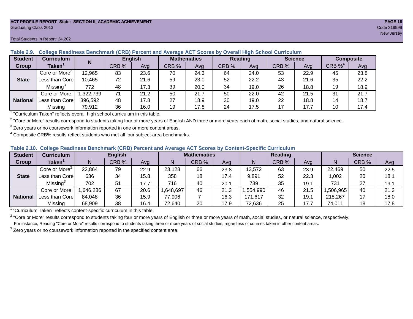#### **ACT PROFILE REPORT- State: SECTION II, ACADEMIC ACHIEVEMENT PAGE 16** Graduating Class 2013 Code 319999

| <b>Student</b>  | <b>Curriculum</b>                       | N        |       | <b>English</b> | <b>Mathematics</b> |      | <b>Reading</b> |      |       | <b>Science</b> | <b>Composite</b> |      |
|-----------------|-----------------------------------------|----------|-------|----------------|--------------------|------|----------------|------|-------|----------------|------------------|------|
| <b>Group</b>    | Taken $^{\scriptscriptstyle\mathsf{T}}$ |          | CRB % | Avg            | CRB %              | Avg  | CRB %          | Avg  | CRB % | Avg            | CRB $\%^4$       | Avg  |
|                 | Core or More <sup>2</sup>               | 12,965   | 83    | 23.6           | 70                 | 24.3 | 64             | 24.0 | 53    | 22.9           | 45               | 23.8 |
| <b>State</b>    | Less than Core                          | 10,465   | 72    | 21.6           | 59                 | 23.0 | 52             | 22.2 | 43    | 21.6           | 35               | 22.2 |
|                 | Missing <sup>3</sup>                    | 772      | 48    | 17.3           | 39                 | 20.0 | 34             | 19.0 | 26    | 18.8           | 19               | 18.9 |
|                 | Core or More                            | ,322,739 | 71    | 21.2           | 50                 | 21.7 | 50             | 22.0 | 42    | 21.5           | 31               | 21.7 |
| <b>National</b> | Less than Corel                         | 396,592  | 48    | 17.8           | 27                 | 18.9 | 30             | 19.0 | 22    | 18.8           | 14               | 18.7 |
|                 | Missing                                 | 79,912   | 36    | 16.0           | 19                 | 17.8 | 24             | 17.5 | 17    | 17.7           | 10               | 17.4 |

#### **Table 2.9. College Readiness Benchmark (CRB) Percent and Average ACT Scores by Overall High School Curriculum**

1 "Curriculum Taken" reflects overall high school curriculum in this table.

 $^2$  "Core or More" results correspond to students taking four or more years of English AND three or more years each of math, social studies, and natural science.

 $3$  Zero years or no coursework information reported in one or more content areas.

 $4$  Composite CRB% results reflect students who met all four subject-area benchmarks.

#### **Table 2.10. College Readiness Benchmark (CRB) Percent and Average ACT Scores by Content-Specific Curriculum**

| <b>Student</b>  | Curriculum                    |          | <b>English</b> |      |          | <b>Mathematics</b> |      |          | <b>Reading</b> |      |          | <b>Science</b> |      |
|-----------------|-------------------------------|----------|----------------|------|----------|--------------------|------|----------|----------------|------|----------|----------------|------|
| Group           | $\mathsf{Taken}^{\mathsf{T}}$ |          | CRB %          | Avg  | N        | CRB %              | Avg  | N        | CRB %          | Avg  | N        | CRB %          | Avg  |
|                 | Core or More <sup>2</sup>     | 22,864   | 79             | 22.9 | 23,128   | 66                 | 23.8 | 13,572   | 63             | 23.9 | 22,469   | 50             | 22.5 |
| <b>State</b>    | Less than Corel               | 636      | 34             | 15.8 | 358      | 18                 | 17.4 | 9,891    | 52             | 22.3 | 1,002    | 20             | 18.1 |
|                 | Missing <sup>3</sup>          | 702      | 51             | 17.7 | 716      | 40                 | 20.1 | 739      | 35             | 19.1 | 731      | 27             | 19.1 |
|                 | Core or More                  | .646,286 | 67             | 20.6 | ,648,697 | 46                 | 21.3 | .554,990 | 46             | 21.5 | ,506,965 | 40             | 21.3 |
| <b>National</b> | Less than Core                | 84,048   | 36             | 15.9 | 77,906   |                    | 16.3 | 171,617  | 32             | 19.7 | 218,267  |                | 18.0 |
|                 | Missing                       | 68,909   | 38             | 16.4 | 72,640   | 20                 | 17.9 | 72,636   | 25             | 17.7 | 74,011   | 18             | 17.8 |

<sup>1</sup>"Curriculum Taken" reflects content-specific curriculum in this table.

<sup>2</sup> "Core or More" results correspond to students taking four or more years of English or three or more years of math, social studies, or natural science, respectively. For instance, Reading "Core or More" results correspond to students taking three or more years of social studies, regardless of courses taken in other content areas.

 $3$  Zero years or no coursework information reported in the specified content area.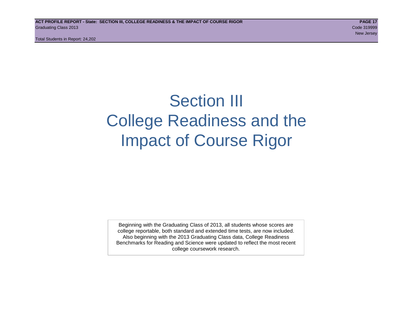Total Students in Report: 24,202

# Section III College Readiness and the Impact of Course Rigor

Beginning with the Graduating Class of 2013, all students whose scores are college reportable, both standard and extended time tests, are now included. Also beginning with the 2013 Graduating Class data, College Readiness Benchmarks for Reading and Science were updated to reflect the most recent college coursework research.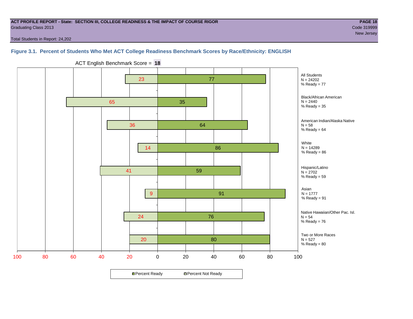#### **ACT PROFILE REPORT - State: SECTION III, COLLEGE READINESS & THE IMPACT OF COURSE RIGOR PAGE 18** Graduating Class 2013 Code 319999

new Jersey (1989) and the second control of the second control of the second control of the Second Control of the Second Control of the Second Control of the Second Control of the Second Control of the Second Control of th

Total Students in Report: 24,202

### **Figure 3.1. Percent of Students Who Met ACT College Readiness Benchmark Scores by Race/Ethnicity: ENGLISH**



ACT English Benchmark Score = **18**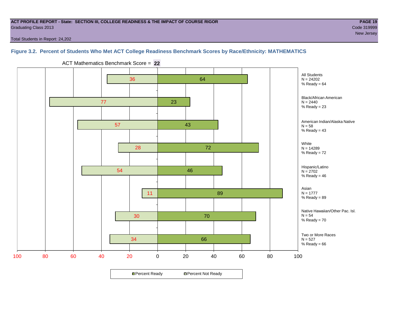#### **ACT PROFILE REPORT - State: SECTION III, COLLEGE READINESS & THE IMPACT OF COURSE RIGOR PAGE 19** Graduating Class 2013 Code 319999

Total Students in Report: 24,202

### **Figure 3.2. Percent of Students Who Met ACT College Readiness Benchmark Scores by Race/Ethnicity: MATHEMATICS**



ACT Mathematics Benchmark Score = **22**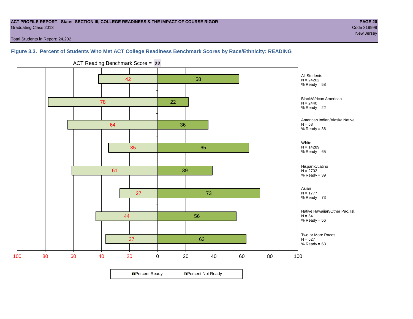#### **ACT PROFILE REPORT - State: SECTION III, COLLEGE READINESS & THE IMPACT OF COURSE RIGOR PAGE 20** Graduating Class 2013 Code 319999

new Jersey (1989) and the second control of the second control of the second control of the Second Control of the Second Control of the Second Control of the Second Control of the Second Control of the Second Control of th

Total Students in Report: 24,202

#### **Figure 3.3. Percent of Students Who Met ACT College Readiness Benchmark Scores by Race/Ethnicity: READING**



ACT Reading Benchmark Score = **22**

**□ Percent Ready DPercent Not Ready**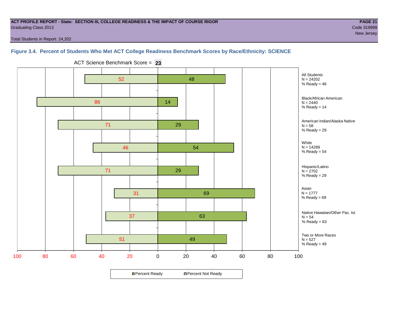#### **ACT PROFILE REPORT - State: SECTION III, COLLEGE READINESS & THE IMPACT OF COURSE RIGOR PAGE 21** Graduating Class 2013 Code 319999

new Jersey (1989) and the second control of the second control of the second control of the Second Control of the Second Control of the Second Control of the Second Control of the Second Control of the Second Control of th

Total Students in Report: 24,202

### **Figure 3.4. Percent of Students Who Met ACT College Readiness Benchmark Scores by Race/Ethnicity: SCIENCE**



ACT Science Benchmark Score = **23**

**□ Percent Ready DPercent Not Ready**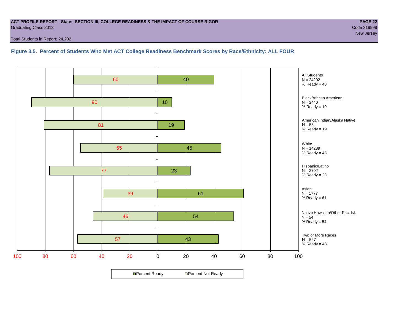#### **ACT PROFILE REPORT - State: SECTION III, COLLEGE READINESS & THE IMPACT OF COURSE RIGOR PAGE 22** Graduating Class 2013 Code 319999

Total Students in Report: 24,202

**Figure 3.5. Percent of Students Who Met ACT College Readiness Benchmark Scores by Race/Ethnicity: ALL FOUR**

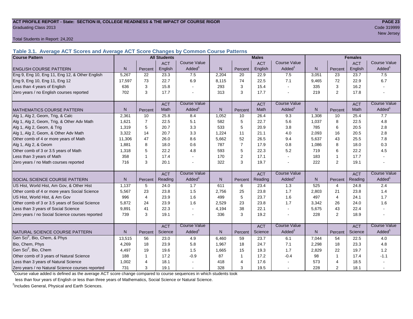#### **ACT PROFILE REPORT - State: SECTION III, COLLEGE READINESS & THE IMPACT OF COURSE RIGOR PAGE 23** Graduating Class 2013 Code 319999

Total Students in Report: 24,202

**Table 3.1. Average ACT Scores and Average ACT Score Changes by Common Course Patterns**

| <b>Course Pattern</b>                            |                |                | <b>All Students</b> |                     |              |                | <b>Males</b> |                     |              |                | <b>Females</b> |                        |
|--------------------------------------------------|----------------|----------------|---------------------|---------------------|--------------|----------------|--------------|---------------------|--------------|----------------|----------------|------------------------|
|                                                  |                |                | <b>ACT</b>          | <b>Course Value</b> |              |                | <b>ACT</b>   | <b>Course Value</b> |              |                | <b>ACT</b>     | <b>Course Value</b>    |
| <b>ENGLISH COURSE PATTERN</b>                    | N.             | Percent        | English             | Added               | N            | Percent        | English      | Added <sup>1</sup>  | N            | Percent        | English        | A d d e d <sup>1</sup> |
| Eng 9, Eng 10, Eng 11, Eng 12, & Other English   | 5,267          | 22             | 23.3                | 7.5                 | 2,204        | 20             | 22.9         | 7.5                 | 3,051        | 23             | 23.7           | 7.5                    |
| Eng 9, Eng 10, Eng 11, Eng 12                    | 17,597         | 73             | 22.7                | 6.9                 | 8.115        | 74             | 22.5         | 7.1                 | 9,465        | 72             | 22.9           | 6.7                    |
| Less than 4 years of English                     | 636            | 3              | 15.8                |                     | 293          | 3              | 15.4         | $\sim$              | 335          | 3              | 16.2           |                        |
| Zero years / no English courses reported         | 702            | 3              | 17.7                |                     | 313          | 3              | 17.7         | $\blacksquare$      | 219          | $\overline{2}$ | 17.8           |                        |
|                                                  |                |                | <b>ACT</b>          | <b>Course Value</b> |              |                | <b>ACT</b>   | <b>Course Value</b> |              |                | <b>ACT</b>     | <b>Course Value</b>    |
| <b>MATHEMATICS COURSE PATTERN</b>                | N <sub>1</sub> | Percent        | Math                | Added               | $\mathsf{N}$ | Percent        | Math         | Added <sup>1</sup>  | $\mathsf{N}$ | Percent        | Math           | A d d e d <sup>1</sup> |
| Alg 1, Alg 2, Geom, Trig, & Calc                 | 2,361          | 10             | 25.8                | 8.4                 | 1,052        | 10             | 26.4         | 9.3                 | 1,308        | 10             | 25.4           | 7.7                    |
| Alg 1, Alg 2, Geom, Trig, & Other Adv Math       | 1,621          | $\overline{7}$ | 22.5                | 5.1                 | 582          | 5              | 22.7         | 5.6                 | 1,037        | 8              | 22.5           | 4.8                    |
| Alg 1, Alg 2, Geom, & Trig                       | 1,319          | 5              | 20.7                | 3.3                 | 533          | 5              | 20.9         | 3.8                 | 785          | 6              | 20.5           | 2.8                    |
| Alg 1, Alg 2, Geom, & Other Adv Math             | 3,322          | 14             | 20.7                | 3.3                 | 1,224        | 11             | 21.1         | 4.0                 | 2,093        | 16             | 20.5           | 2.8                    |
| Other comb of 4 or more years of Math            | 11,306         | 47             | 26.0                | 8.6                 | 5,662        | 52             | 26.5         | 9.4                 | 5,637        | 43             | 25.5           | 7.8                    |
| Alg 1, Alg 2, & Geom                             | 1,881          | 8              | 18.0                | 0.6                 | 787          | $\overline{7}$ | 17.9         | 0.8                 | 1,086        | 8              | 18.0           | 0.3                    |
| Other comb of 3 or 3.5 years of Math             | 1,318          | 5              | 22.2                | 4.8                 | 593          | 5              | 22.3         | 5.2                 | 719          | 6              | 22.2           | 4.5                    |
| Less than 3 years of Math                        | 358            | -1             | 17.4                |                     | 170          | 2              | 17.1         | $\sim$              | 183          | $\mathbf{1}$   | 17.7           |                        |
| Zero years / no Math courses reported            | 716            | 3              | 20.1                |                     | 322          | 3              | 19.7         | $\sim$              | 222          | 2              | 19.1           |                        |
|                                                  |                |                | <b>ACT</b>          | <b>Course Value</b> |              |                | <b>ACT</b>   | <b>Course Value</b> |              |                | <b>ACT</b>     | <b>Course Value</b>    |
| SOCIAL SCIENCE COURSE PATTERN                    | N <sub>1</sub> | Percent        | Reading             | Added               | $\mathsf{N}$ | Percent        | Reading      | Added <sup>1</sup>  | N            | Percent        | Reading        | A d d e d <sup>1</sup> |
| US Hist, World Hist, Am Gov, & Other Hist        | 1.137          | 5              | 24.0                | 1.7                 | 611          | 6              | 23.4         | 1.3                 | 525          | 4              | 24.8           | 2.4                    |
| Other comb of 4 or more years Social Science     | 5,567          | 23             | 23.8                | 1.5                 | 2,756        | 25             | 23.8         | 1.7                 | 2,803        | 21             | 23.8           | 1.4                    |
| US Hist, World Hist, & Am Gov                    | 996            | $\overline{4}$ | 23.9                | 1.6                 | 499          | 5              | 23.7         | 1.6                 | 497          | $\overline{4}$ | 24.1           | 1.7                    |
| Other comb of 3 or 3.5 years of Social Science   | 5.872          | 24             | 23.9                | 1.6                 | 2,529        | 23             | 23.8         | 1.7                 | 3,342        | 26             | 24.0           | 1.6                    |
| Less than 3 years of Social Science              | 9,891          | 41             | 22.3                |                     | 4,194        | 38             | 22.1         | $\sim$              | 5,675        | 43             | 22.4           |                        |
| Zero years / no Social Science courses reported  | 739            | 3              | 19.1                |                     | 336          | 3              | 19.2         | $\sim$              | 228          | 2              | 18.9           |                        |
|                                                  |                |                | <b>ACT</b>          | <b>Course Value</b> |              |                | <b>ACT</b>   | <b>Course Value</b> |              |                | <b>ACT</b>     | <b>Course Value</b>    |
| NATURAL SCIENCE COURSE PATTERN                   | N.             | Percent        | Science             | Added               | $\mathsf{N}$ | Percent        | Science      | Added <sup>1</sup>  | $\mathsf{N}$ | Percent        | Science        | A d d e d <sup>1</sup> |
| Gen Sci <sup>2</sup> , Bio, Chem, & Phys         | 13,515         | 56             | 23.0                | 4.9                 | 6,460        | 59             | 23.7         | 6.1                 | 7,044        | 54             | 22.5           | 4.0                    |
| Bio, Chem, Phys                                  | 4,269          | 18             | 23.9                | 5.8                 | 1,967        | 18             | 24.7         | 7.1                 | 2,298        | 18             | 23.3           | 4.8                    |
| Gen Sci <sup>2</sup> , Bio, Chem                 | 4,497          | 19             | 19.6                | 1.5                 | 1,665        | 15             | 19.3         | 1.7                 | 2,829        | 22             | 19.7           | 1.2                    |
| Other comb of 3 years of Natural Science         | 188            | -1             | 17.2                | $-0.9$              | 87           | $\overline{1}$ | 17.2         | $-0.4$              | 98           | 1              | 17.4           | $-1.1$                 |
| Less than 3 years of Natural Science             | 1,002          | 4              | 18.1                |                     | 418          | $\overline{4}$ | 17.6         |                     | 573          | $\overline{4}$ | 18.5           |                        |
| Zero years / no Natural Science courses reported | 731            | 3              | 19.1                |                     | 328          | 3              | 19.5         | $\sim$              | 228          | $\overline{2}$ | 18.1           |                        |

<sup>1</sup>Course value added is defined as the average ACT score change compared to course sequences in which students took

less than four years of English or less than three years of Mathematics, Social Science or Natural Science.

<sup>2</sup>Includes General, Physical and Earth Sciences.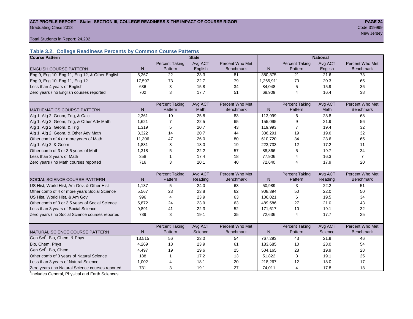#### ACT PROFILE REPORT - State: SECTION III, COLLEGE READINESS & THE IMPACT OF COURSE RIGOR **PAGE 24** Graduating Class 2013 Code 319999

new Jersey (1989) and the second control of the second control of the second control of the Second Control of the Second Control of the Second Control of the Second Control of the Second Control of the Second Control of th

Total Students in Report: 24,202

## **Table 3.2. College Readiness Percents by Common Course Patterns**

| <b>Course Pattern</b>                            |              |                       | <b>State</b> |                  | <b>National</b> |                       |         |                  |
|--------------------------------------------------|--------------|-----------------------|--------------|------------------|-----------------|-----------------------|---------|------------------|
|                                                  |              | <b>Percent Taking</b> | Avg ACT      | Percent Who Met  |                 | <b>Percent Taking</b> | Avg ACT | Percent Who Met  |
| <b>ENGLISH COURSE PATTERN</b>                    | $\mathsf{N}$ | Pattern               | English      | <b>Benchmark</b> | $\mathsf{N}$    | Pattern               | English | <b>Benchmark</b> |
| Eng 9, Eng 10, Eng 11, Eng 12, & Other English   | 5,267        | 22                    | 23.3         | 81               | 380,375         | 21                    | 21.6    | 73               |
| Eng 9, Eng 10, Eng 11, Eng 12                    | 17,597       | 73                    | 22.7         | 79               | 1,265,911       | 70                    | 20.3    | 65               |
| Less than 4 years of English                     | 636          | 3                     | 15.8         | 34               | 84,048          | 5                     | 15.9    | 36               |
| Zero years / no English courses reported         | 702          | 3                     | 17.7         | 51               | 68,909          | 4                     | 16.4    | 38               |
|                                                  |              |                       |              |                  |                 |                       |         |                  |
|                                                  |              | <b>Percent Taking</b> | Avg ACT      | Percent Who Met  |                 | <b>Percent Taking</b> | Avg ACT | Percent Who Met  |
| <b>MATHEMATICS COURSE PATTERN</b>                | $\mathsf{N}$ | Pattern               | <b>Math</b>  | <b>Benchmark</b> | $\mathsf{N}$    | Pattern               | Math    | <b>Benchmark</b> |
| Alg 1, Alg 2, Geom, Trig, & Calc                 | 2,361        | 10                    | 25.8         | 83               | 113,999         | 6                     | 23.8    | 68               |
| Alg 1, Alg 2, Geom, Trig, & Other Adv Math       | 1,621        | 7                     | 22.5         | 65               | 155,095         | 9                     | 21.9    | 56               |
| Alg 1, Alg 2, Geom, & Trig                       | 1,319        | 5                     | 20.7         | 43               | 119,993         | $\overline{7}$        | 19.4    | 32               |
| Alg 1, Alg 2, Geom, & Other Adv Math             | 3,322        | 14                    | 20.7         | 44               | 336,291         | 19                    | 19.6    | 32               |
| Other comb of 4 or more years of Math            | 11,306       | 47                    | 26.0         | 80               | 610,720         | 34                    | 23.6    | 65               |
| Alg 1, Alg 2, & Geom                             | 1,881        | 8                     | 18.0         | 19               | 223,733         | 12                    | 17.2    | 11               |
| Other comb of 3 or 3.5 years of Math             | 1,318        | 5                     | 22.2         | 57               | 88,866          | 5                     | 19.7    | 34               |
| Less than 3 years of Math                        | 358          | 1                     | 17.4         | 18               | 77,906          | 4                     | 16.3    | $\overline{7}$   |
| Zero years / no Math courses reported            | 716          | 3                     | 20.1         | 40               | 72,640          | 4                     | 17.9    | 20               |
|                                                  |              |                       |              |                  |                 |                       |         |                  |
|                                                  |              | <b>Percent Taking</b> | Avg ACT      | Percent Who Met  |                 | <b>Percent Taking</b> | Avg ACT | Percent Who Met  |
| <b>SOCIAL SCIENCE COURSE PATTERN</b>             | N            | Pattern               | Reading      | <b>Benchmark</b> | N               | Pattern               | Reading | <b>Benchmark</b> |
| US Hist, World Hist, Am Gov, & Other Hist        | 1,137        | 5                     | 24.0         | 63               | 50,989          | 3                     | 22.2    | 51               |
| Other comb of 4 or more years Social Science     | 5,567        | 23                    | 23.8         | 62               | 908,394         | 50                    | 22.0    | 50               |
| US Hist, World Hist, & Am Gov                    | 996          | 4                     | 23.9         | 63               | 106,021         | 6                     | 19.5    | 34               |
| Other comb of 3 or 3.5 years of Social Science   | 5,872        | 24                    | 23.9         | 63               | 489,586         | 27                    | 21.0    | 43               |
| Less than 3 years of Social Science              | 9,891        | 41                    | 22.3         | 52               | 171,617         | 10                    | 19.1    | 32               |
| Zero years / no Social Science courses reported  | 739          | 3                     | 19.1         | 35               | 72,636          | $\overline{4}$        | 17.7    | 25               |
|                                                  |              |                       |              |                  |                 |                       |         |                  |
|                                                  |              | <b>Percent Taking</b> | Avg ACT      | Percent Who Met  |                 | <b>Percent Taking</b> | Avg ACT | Percent Who Met  |
| NATURAL SCIENCE COURSE PATTERN                   | N            | Pattern               | Science      | <b>Benchmark</b> | N               | Pattern               | Science | <b>Benchmark</b> |
| Gen Sci <sup>1</sup> , Bio, Chem, & Phys         | 13,515       | 56                    | 23.0         | 54               | 767,293         | 43                    | 21.9    | 46               |
| Bio, Chem, Phys                                  | 4,269        | 18                    | 23.9         | 61               | 183,685         | 10                    | 23.0    | 54               |
| Gen Sci <sup>1</sup> , Bio, Chem                 | 4,497        | 19                    | 19.6         | 25               | 504,165         | 28                    | 19.9    | 28               |
| Other comb of 3 years of Natural Science         | 188          | 1                     | 17.2         | 13               | 51,822          | 3                     | 19.1    | 25               |
| Less than 3 years of Natural Science             | 1,002        | 4                     | 18.1         | 20               | 218,267         | 12                    | 18.0    | 17               |
| Zero years / no Natural Science courses reported | 731          | 3                     | 19.1         | 27               | 74,011          | 4                     | 17.8    | 18               |

<sup>1</sup>Includes General, Physical and Earth Sciences.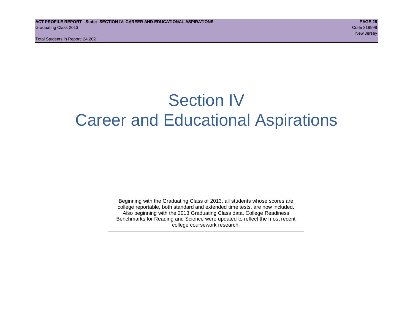Total Students in Report: 24,202

# Section IV Career and Educational Aspirations

Beginning with the Graduating Class of 2013, all students whose scores are college reportable, both standard and extended time tests, are now included. Also beginning with the 2013 Graduating Class data, College Readiness Benchmarks for Reading and Science were updated to reflect the most recent college coursework research.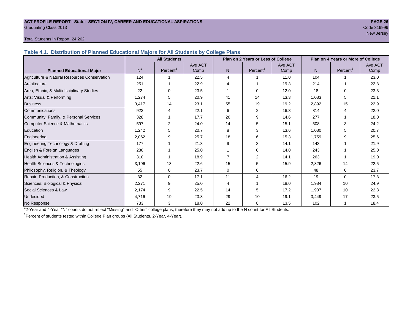#### **ACT PROFILE REPORT - State: SECTION IV, CAREER AND EDUCATIONAL ASPIRATIONS PAGE 26** Graduating Class 2013 Code 319999

# new Jersey (1989) and the second control of the second control of the second control of the Second Control of the Second Control of the Second Control of the Second Control of the Second Control of the Second Control of th

#### Total Students in Report: 24,202

**Table 4.1. Distribution of Planned Educational Majors for All Students by College Plans**

|                                              | <b>All Students</b> |                      |         |                | Plan on 2 Years or Less of College |         | Plan on 4 Years or More of College |                       |         |  |
|----------------------------------------------|---------------------|----------------------|---------|----------------|------------------------------------|---------|------------------------------------|-----------------------|---------|--|
|                                              |                     |                      | Avg ACT |                |                                    | Avg ACT |                                    |                       | Avg ACT |  |
| <b>Planned Educational Major</b>             | N <sup>1</sup>      | Percent <sup>2</sup> | Comp    | N <sub>1</sub> | Percent <sup>2</sup>               | Comp    | N.                                 | Percent <sup>2</sup>  | Comp    |  |
| Agriculture & Natural Resources Conservation | 124                 |                      | 22.5    | 4              |                                    | 11.0    | 104                                |                       | 23.0    |  |
| Architecture                                 | 251                 |                      | 22.9    | 4              |                                    | 19.3    | 214                                |                       | 22.8    |  |
| Area, Ethnic, & Multidisciplinary Studies    | 22                  |                      | 23.5    |                | $\Omega$                           | 12.0    | 18                                 | $\Omega$              | 23.3    |  |
| Arts: Visual & Performing                    | 1,274               | 5                    | 20.9    | 41             | 14                                 | 13.3    | 1,083                              | 5                     | 21.1    |  |
| <b>Business</b>                              | 3,417               | 14                   | 23.1    | 55             | 19                                 | 19.2    | 2,892                              | 15                    | 22.9    |  |
| Communications                               | 923                 | 4                    | 22.1    | 6              | 2                                  | 16.8    | 814                                | $\boldsymbol{\Delta}$ | 22.0    |  |
| Community, Family, & Personal Services       | 328                 |                      | 17.7    | 26             | 9                                  | 14.6    | 277                                |                       | 18.0    |  |
| <b>Computer Science &amp; Mathematics</b>    | 597                 | 2                    | 24.0    | 14             | 5                                  | 15.1    | 508                                |                       | 24.2    |  |
| Education                                    | 1,242               | 5                    | 20.7    | 8              | 3                                  | 13.6    | 1,080                              | 5                     | 20.7    |  |
| Engineering                                  | 2,062               | 9                    | 25.7    | 18             | 6                                  | 15.3    | 1,759                              | 9                     | 25.6    |  |
| Engineering Technology & Drafting            | 177                 |                      | 21.3    | 9              | 3                                  | 14.1    | 143                                | 1                     | 21.9    |  |
| English & Foreign Languages                  | 280                 |                      | 25.0    |                | $\Omega$                           | 14.0    | 243                                |                       | 25.0    |  |
| Health Administration & Assisting            | 310                 |                      | 18.9    | 7              | 2                                  | 14.1    | 263                                |                       | 19.0    |  |
| Health Sciences & Technologies               | 3,196               | 13                   | 22.6    | 15             | 5                                  | 15.9    | 2,826                              | 14                    | 22.5    |  |
| Philosophy, Religion, & Theology             | 55                  | 0                    | 23.7    | 0              | 0                                  |         | 48                                 | $\Omega$              | 23.7    |  |
| Repair, Production, & Construction           | 32                  | $\Omega$             | 17.1    | 11             | 4                                  | 16.2    | 19                                 | $\Omega$              | 17.3    |  |
| Sciences: Biological & Physical              | 2,271               | 9                    | 25.0    | 4              |                                    | 18.0    | 1,984                              | 10                    | 24.9    |  |
| Social Sciences & Law                        | 2,174               | 9                    | 22.5    | 14             | 5                                  | 17.2    | 1,907                              | 10                    | 22.3    |  |
| Undecided                                    | 4,716               | 19                   | 23.8    | 29             | 10                                 | 19.1    | 3,449                              | 17                    | 23.5    |  |
| No Response                                  | 733                 | 3                    | 18.0    | 22             | 8                                  | 13.5    | 102                                |                       | 18.4    |  |

1 2-Year and 4-Year "N" counts do not reflect "Missing" and "Other" college plans, therefore they may not add up to the N count for All Students.

<sup>2</sup> Percent of students tested within College Plan groups (All Students, 2-Year, 4-Year).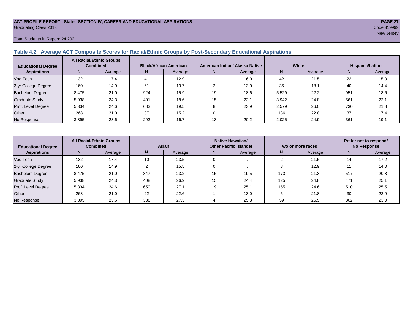#### **ACT PROFILE REPORT - State: SECTION IV, CAREER AND EDUCATIONAL ASPIRATIONS PAGE 27** Graduating Class 2013 Code 319999

#### Total Students in Report: 24,202

#### **Table 4.2. Average ACT Composite Scores for Racial/Ethnic Groups by Post-Secondary Educational Aspirations**

| <b>Educational Degree</b> | <b>All Racial/Ethnic Groups</b><br><b>Combined</b> |         | <b>Black/African American</b> |         |    | American Indian/ Alaska Native |       | White   | Hispanic/Latino |         |  |
|---------------------------|----------------------------------------------------|---------|-------------------------------|---------|----|--------------------------------|-------|---------|-----------------|---------|--|
| <b>Aspirations</b>        | N                                                  | Average | N.                            | Average | N. | Average                        | N     | Average | N               | Average |  |
| Voc-Tech                  | 132                                                | 17.4    | 41                            | 12.9    |    | 16.0                           | 42    | 21.5    | 22              | 15.0    |  |
| 2-yr College Degree       | 160                                                | 14.9    | 61                            | 13.7    |    | 13.0                           | 36    | 18.1    | 40              | 14.4    |  |
| <b>Bachelors Degree</b>   | 8.475                                              | 21.0    | 924                           | 15.9    | 19 | 18.6                           | 5,529 | 22.2    | 951             | 18.6    |  |
| Graduate Study            | 5.938                                              | 24.3    | 401                           | 18.6    | 15 | 22.1                           | 3,942 | 24.8    | 561             | 22.1    |  |
| Prof. Level Degree        | 5,334                                              | 24.6    | 683                           | 19.5    |    | 23.9                           | 2,579 | 26.0    | 730             | 21.8    |  |
| Other                     | 268                                                | 21.0    | 37                            | 15.2    |    |                                | 136   | 22.8    | 37              | 17.4    |  |
| No Response               | 3,895                                              | 23.6    | 293                           | 16.7    | 13 | 20.2                           | 2,025 | 24.9    | 361             | 19.1    |  |

| <b>Educational Degree</b> | <b>All Racial/Ethnic Groups</b><br><b>Combined</b> |         | Asian |         |               | <b>Native Hawaiian/</b><br><b>Other Pacific Islander</b> |     | Two or more races | Prefer not to respond/<br><b>No Response</b> |         |  |
|---------------------------|----------------------------------------------------|---------|-------|---------|---------------|----------------------------------------------------------|-----|-------------------|----------------------------------------------|---------|--|
| <b>Aspirations</b>        | N <sub>1</sub>                                     | Average | N     | Average | Average<br>N. |                                                          | Ν   | Average           | N                                            | Average |  |
| Voc-Tech                  | 132                                                | 17.4    | 10    | 23.5    |               |                                                          |     | 21.5              | 14                                           | 17.2    |  |
| 2-yr College Degree       | 160                                                | 14.9    |       | 15.5    |               |                                                          |     | 12.9              |                                              | 14.0    |  |
| <b>Bachelors Degree</b>   | 8,475                                              | 21.0    | 347   | 23.2    | 15            | 19.5                                                     | 173 | 21.3              | 517                                          | 20.8    |  |
| <b>Graduate Study</b>     | 5,938                                              | 24.3    | 408   | 26.9    | 15            | 24.4                                                     | 125 | 24.8              | 471                                          | 25.1    |  |
| Prof. Level Degree        | 5,334                                              | 24.6    | 650   | 27.1    | 19            | 25.1                                                     | 155 | 24.6              | 510                                          | 25.5    |  |
| Other                     | 268                                                | 21.0    | 22    | 22.6    |               | 13.0                                                     |     | 21.8              | 30                                           | 22.9    |  |
| No Response               | 3,895                                              | 23.6    | 338   | 27.3    |               | 25.3                                                     | 59  | 26.5              | 802                                          | 23.0    |  |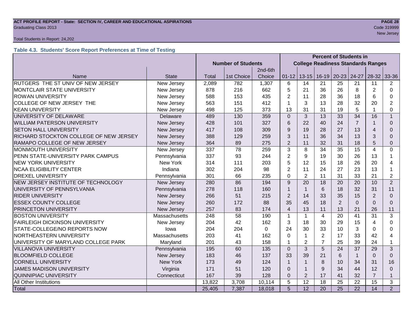#### **ACT PROFILE REPORT - State: SECTION IV, CAREER AND EDUCATIONAL ASPIRATIONS PAGE 28 Graduating Class 2013** Code 319999

#### Total Students in Report: 24,202

### **Table 4.3. Students' Score Report Preferences at Time of Testing**

|                                        |                 | <b>Percent of Students in</b> |            |             |                |                                           |                 |                 |                 |                         |                |
|----------------------------------------|-----------------|-------------------------------|------------|-------------|----------------|-------------------------------------------|-----------------|-----------------|-----------------|-------------------------|----------------|
|                                        |                 | <b>Number of Students</b>     |            |             |                | <b>College Readiness Standards Ranges</b> |                 |                 |                 |                         |                |
|                                        |                 |                               |            | 2nd-6th     |                |                                           |                 |                 |                 |                         |                |
| Name                                   | <b>State</b>    | <b>Total</b>                  | 1st Choice | Choice      | $01 - 12$      | $13 - 15$                                 | $16-19$         | $20 - 23$       | 24-27           | $28-32$                 | 33-36          |
| RUTGERS THE ST UNIV OF NEW JERSEY      | New Jersey      | 2,089                         | 782        | 1,307       | 6              | 14                                        | 21              | 25              | 21              | 11                      | $\overline{2}$ |
| MONTCLAIR STATE UNIVERSITY             | New Jersey      | 878                           | 216        | 662         | 5              | 21                                        | 36              | 26              | 8               | $\overline{2}$          | $\Omega$       |
| <b>ROWAN UNIVERSITY</b>                | New Jersey      | 588                           | 153        | 435         | $\overline{2}$ | 11                                        | 28              | 36              | 18              | 6                       | $\Omega$       |
| COLLEGE OF NEW JERSEY THE              | New Jersey      | 563                           | 151        | 412         |                | 3                                         | 13              | 28              | 32              | 20                      | $\overline{2}$ |
| <b>KEAN UNIVERSITY</b>                 | New Jersey      | 498                           | 125        | 373         | 13             | 31                                        | 31              | 19              | 5               |                         | $\Omega$       |
| UNIVERSITY OF DELAWARE                 | <b>Delaware</b> | 489                           | 130        | 359         | $\Omega$       | 3                                         | 13              | 33              | 34              | 16                      | $\mathbf{1}$   |
| <b>WILLIAM PATERSON UNIVERSITY</b>     | New Jersey      | 428                           | 101        | 327         | 6              | 22                                        | 40              | 24              | $\overline{7}$  | 1                       | $\Omega$       |
| <b>SETON HALL UNIVERSITY</b>           | New Jersey      | 417                           | 108        | 309         | 9              | 19                                        | 28              | 27              | 13              | $\overline{\mathbf{A}}$ | $\Omega$       |
| RICHARD STOCKTON COLLEGE OF NEW JERSEY | New Jersey      | 388                           | 129        | 259         | 3              | 11                                        | 36              | 34              | 13              | 3                       | 0              |
| RAMAPO COLLEGE OF NEW JERSEY           | New Jersey      | 364                           | 89         | 275         | $\overline{2}$ | 11                                        | 32              | 31              | 18              | 5                       | $\mathbf 0$    |
| MONMOUTH UNIVERSITY                    | New Jersey      | 337                           | 78         | 259         | 3              | 8                                         | 34              | 35              | 15              | $\overline{4}$          | $\Omega$       |
| PENN STATE-UNIVERSITY PARK CAMPUS      | Pennsylvania    | 337                           | 93         | 244         | $\overline{2}$ | 9                                         | 19              | 30              | 26              | 13                      |                |
| <b>NEW YORK UNIVERSITY</b>             | <b>New York</b> | 314                           | 111        | 203         | 5              | 12                                        | 15              | 18              | 26              | 20                      | 4              |
| <b>NCAA ELIGIBILITY CENTER</b>         | Indiana         | 302                           | 204        | 98          | $\overline{2}$ | 11                                        | 24              | 27              | 23              | 13                      |                |
| <b>DREXEL UNIVERSITY</b>               | Pennsylvania    | 301                           | 66         | 235         | $\Omega$       | 2                                         | 11              | 31              | 33              | 21                      | $\overline{2}$ |
| NEW JERSEY INSTITUTE OF TECHNOLOGY     | New Jersey      | 280                           | 86         | 194         | 9              | 20                                        | 18              | 20              | 20              | 10                      | $\overline{2}$ |
| UNIVERSITY OF PENNSYLVANIA             | Pennsylvania    | 278                           | 118        | 160         | 1              | $\overline{1}$                            | 6               | 18              | 32              | 31                      | 11             |
| <b>RIDER UNIVERSITY</b>                | New Jersey      | 266                           | 51         | 215         | $\overline{2}$ | 14                                        | 33              | 35              | 15              | $\overline{2}$          | $\Omega$       |
| <b>ESSEX COUNTY COLLEGE</b>            | New Jersey      | 260                           | 172        | 88          | 35             | 45                                        | 18              | $\overline{2}$  | $\Omega$        | $\Omega$                | $\Omega$       |
| PRINCETON UNIVERSITY                   | New Jersey      | 257                           | 83         | 174         | $\overline{4}$ | 13                                        | 11              | 13              | 21              | 26                      | 11             |
| <b>BOSTON UNIVERSITY</b>               | Massachusetts   | 248                           | 58         | 190         | $\mathbf{1}$   | $\mathbf{1}$                              | $\overline{4}$  | 20              | 41              | 31                      | 3              |
| <b>FAIRLEIGH DICKINSON UNIVERSITY</b>  | New Jersey      | 204                           | 42         | 162         | 3              | 18                                        | 30              | 29              | 15              | $\overline{4}$          | $\Omega$       |
| STATE-COLLEGE/NO REPORTS NOW           | lowa            | 204                           | 204        | $\mathbf 0$ | 24             | 30                                        | 33              | 10              | 3               | 0                       | 0              |
| NORTHEASTERN UNIVERSITY                | Massachusetts   | 203                           | 41         | 162         | $\Omega$       | $\mathbf{1}$                              | $\overline{2}$  | 17              | 33              | 42                      | 4              |
| UNIVERSITY OF MARYLAND COLLEGE PARK    | Maryland        | 201                           | 43         | 158         | 1              | $\overline{2}$                            | $\overline{7}$  | 25              | 39              | 24                      | 1              |
| <b>VILLANOVA UNIVERSITY</b>            | Pennsylvania    | 195                           | 60         | 135         | $\Omega$       | 3                                         | 5               | 24              | 37              | 29                      | 3              |
| <b>BLOOMFIELD COLLEGE</b>              | New Jersey      | 183                           | 46         | 137         | 33             | 39                                        | 21              | 6               | $\mathbf{1}$    | $\Omega$                | $\Omega$       |
| <b>CORNELL UNIVERSITY</b><br>New York  |                 | 173                           | 49         | 124         | $\overline{1}$ | $\mathbf{1}$                              | 8               | 10              | 34              | 31                      | 16             |
| <b>JAMES MADISON UNIVERSITY</b>        | Virginia        |                               | 51         | 120         | $\Omega$       | $\mathbf{1}$                              | 9               | 34              | 44              | 12                      | $\Omega$       |
| <b>QUINNIPIAC UNIVERSITY</b>           | Connecticut     | 167                           | 39         | 128         | $\Omega$       | $\overline{2}$                            | 17              | 41              | 32              | $\overline{7}$          | 1              |
| All Other Institutions                 |                 | 13,822                        | 3,708      | 10,114      | 5              | 12                                        | 18              | 25              | 22              | 15                      | 3              |
| Total                                  |                 | 25,405                        | 7,387      | 18,018      | $\overline{5}$ | $\overline{12}$                           | $\overline{20}$ | $\overline{25}$ | $\overline{22}$ | 14                      | $\overline{2}$ |

new Jersey (1989) and the second control of the second control of the second control of the Second Control of the Second Control of the Second Control of the Second Control of the Second Control of the Second Control of th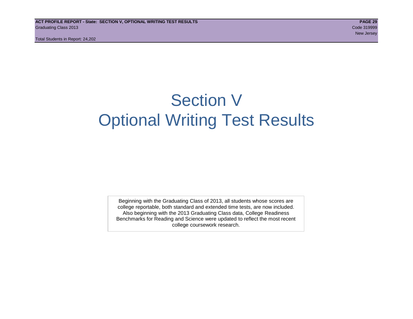# Section V Optional Writing Test Results

Beginning with the Graduating Class of 2013, all students whose scores are college reportable, both standard and extended time tests, are now included. Also beginning with the 2013 Graduating Class data, College Readiness Benchmarks for Reading and Science were updated to reflect the most recent college coursework research.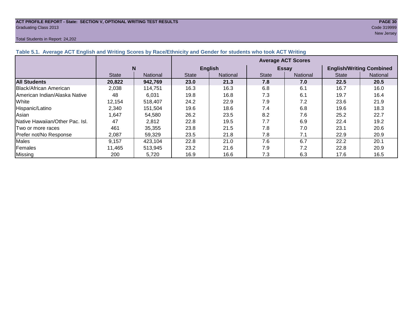#### **ACT PROFILE REPORT - State: SECTION V, OPTIONAL WRITING TEST RESULTS PAGE 30** Graduating Class 2013 Code 319999

#### Total Students in Report: 24,202

new Jersey (1989) and the second state of the second state of the second state of the second state of the second

| Table 5.1. Average ACT English and Writing Scores by Race/Ethnicity and Gender for students who took ACT Writing |              |          |                           |                |              |                 |                                 |                 |  |  |  |  |
|------------------------------------------------------------------------------------------------------------------|--------------|----------|---------------------------|----------------|--------------|-----------------|---------------------------------|-----------------|--|--|--|--|
|                                                                                                                  |              |          | <b>Average ACT Scores</b> |                |              |                 |                                 |                 |  |  |  |  |
|                                                                                                                  |              | N        |                           | <b>English</b> |              | <b>Essay</b>    | <b>English/Writing Combined</b> |                 |  |  |  |  |
|                                                                                                                  | <b>State</b> | National | <b>State</b>              | National       | <b>State</b> | <b>National</b> | <b>State</b>                    | <b>National</b> |  |  |  |  |
| <b>All Students</b>                                                                                              | 20,822       | 942,769  | <b>23.0</b>               | 21.3           | 7.8          | 7.0             | 22.5                            | 20.5            |  |  |  |  |
| Black/African American                                                                                           | 2,038        | 114,751  | 16.3                      | 16.3           | 6.8          | 6.1             | 16.7                            | 16.0            |  |  |  |  |
| <b>IAmerican Indian/Alaska Native</b>                                                                            | 48           | 6.031    | 19.8                      | 16.8           | 7.3          | 6.1             | 19.7                            | 16.4            |  |  |  |  |
| White                                                                                                            | 12,154       | 518.407  | 24.2                      | 22.9           | 7.9          | 7.2             | 23.6                            | 21.9            |  |  |  |  |
| Hispanic/Latino                                                                                                  | 2,340        | 151,504  | 19.6                      | 18.6           | 7.4          | 6.8             | 19.6                            | 18.3            |  |  |  |  |
| <b>Asian</b>                                                                                                     | 1,647        | 54,580   | 26.2                      | 23.5           | 8.2          | 7.6             | 25.2                            | 22.7            |  |  |  |  |
| <b>Native Hawaiian/Other Pac. Isl.</b>                                                                           | 47           | 2,812    | 22.8                      | 19.5           | 7.7          | 6.9             | 22.4                            | 19.2            |  |  |  |  |
| ITwo or more races                                                                                               | 461          | 35,355   | 23.8                      | 21.5           | 7.8          | 7.0             | 23.1                            | 20.6            |  |  |  |  |
| Prefer not/No Response                                                                                           | 2,087        | 59,329   | 23.5                      | 21.8           | 7.8          | 7.1             | 22.9                            | 20.9            |  |  |  |  |
| <b>Males</b>                                                                                                     | 9.157        | 423,104  | 22.8                      | 21.0           | 7.6          | 6.7             | 22.2                            | 20.1            |  |  |  |  |
| Females                                                                                                          | 11,465       | 513,945  | 23.2                      | 21.6           | 7.9          | 7.2             | 22.8                            | 20.9            |  |  |  |  |
| Missing                                                                                                          | 200          | 5,720    | 16.9                      | 16.6           | 7.3          | 6.3             | 17.6                            | 16.5            |  |  |  |  |